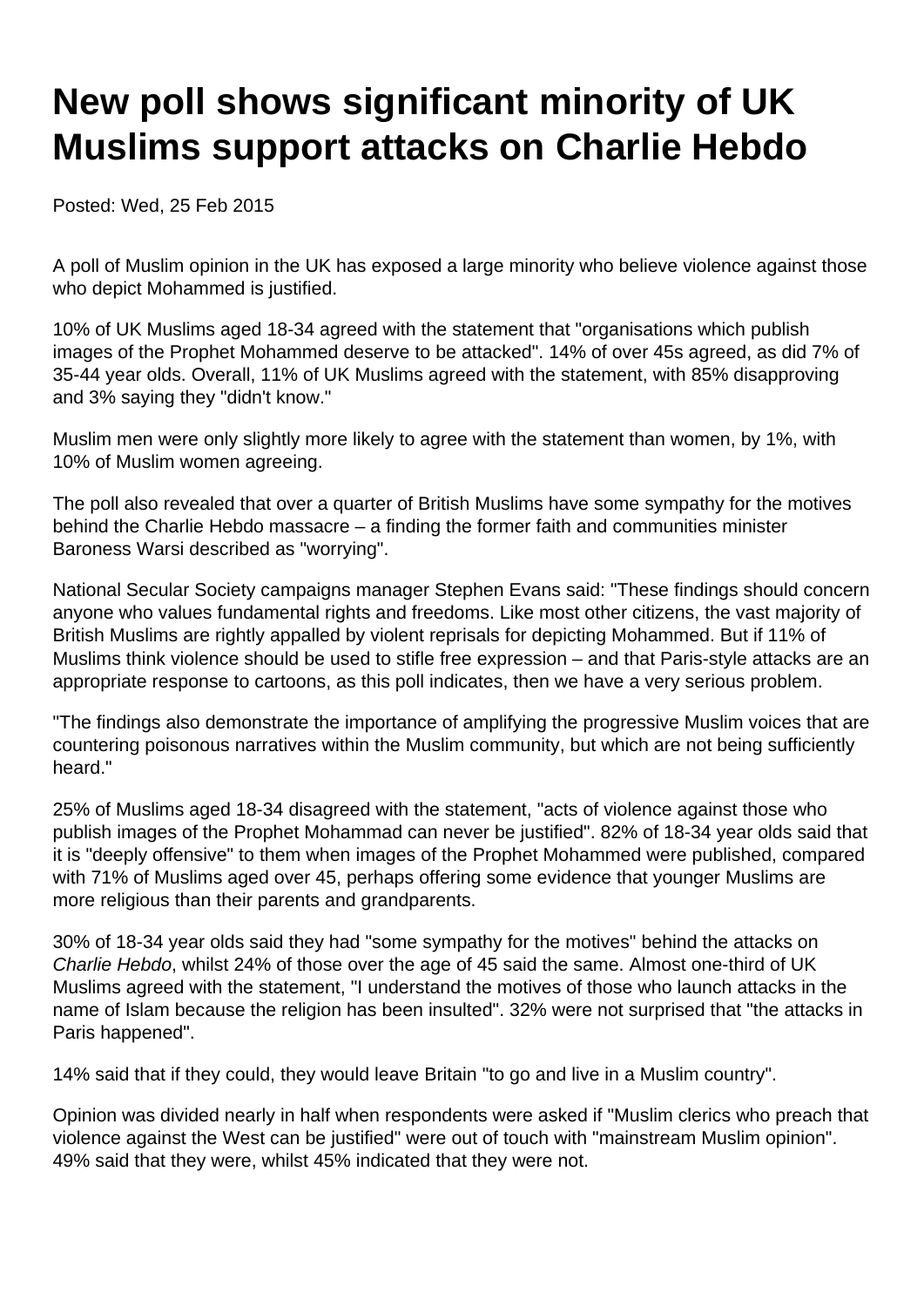# **New poll shows significant minority of UK Muslims support attacks on Charlie Hebdo**

Posted: Wed, 25 Feb 2015

A poll of Muslim opinion in the UK has exposed a large minority who believe violence against those who depict Mohammed is justified.

10% of UK Muslims aged 18-34 agreed with the statement that "organisations which publish images of the Prophet Mohammed deserve to be attacked". 14% of over 45s agreed, as did 7% of 35-44 year olds. Overall, 11% of UK Muslims agreed with the statement, with 85% disapproving and 3% saying they "didn't know."

Muslim men were only slightly more likely to agree with the statement than women, by 1%, with 10% of Muslim women agreeing.

The poll also revealed that over a quarter of British Muslims have some sympathy for the motives behind the Charlie Hebdo massacre – a finding the former faith and communities minister Baroness Warsi described as "worrying".

National Secular Society campaigns manager Stephen Evans said: "These findings should concern anyone who values fundamental rights and freedoms. Like most other citizens, the vast majority of British Muslims are rightly appalled by violent reprisals for depicting Mohammed. But if 11% of Muslims think violence should be used to stifle free expression – and that Paris-style attacks are an appropriate response to cartoons, as this poll indicates, then we have a very serious problem.

"The findings also demonstrate the importance of amplifying the progressive Muslim voices that are countering poisonous narratives within the Muslim community, but which are not being sufficiently heard."

25% of Muslims aged 18-34 disagreed with the statement, "acts of violence against those who publish images of the Prophet Mohammad can never be justified". 82% of 18-34 year olds said that it is "deeply offensive" to them when images of the Prophet Mohammed were published, compared with 71% of Muslims aged over 45, perhaps offering some evidence that younger Muslims are more religious than their parents and grandparents.

30% of 18-34 year olds said they had "some sympathy for the motives" behind the attacks on Charlie Hebdo, whilst 24% of those over the age of 45 said the same. Almost one-third of UK Muslims agreed with the statement, "I understand the motives of those who launch attacks in the name of Islam because the religion has been insulted". 32% were not surprised that "the attacks in Paris happened".

14% said that if they could, they would leave Britain "to go and live in a Muslim country".

Opinion was divided nearly in half when respondents were asked if "Muslim clerics who preach that violence against the West can be justified" were out of touch with "mainstream Muslim opinion". 49% said that they were, whilst 45% indicated that they were not.